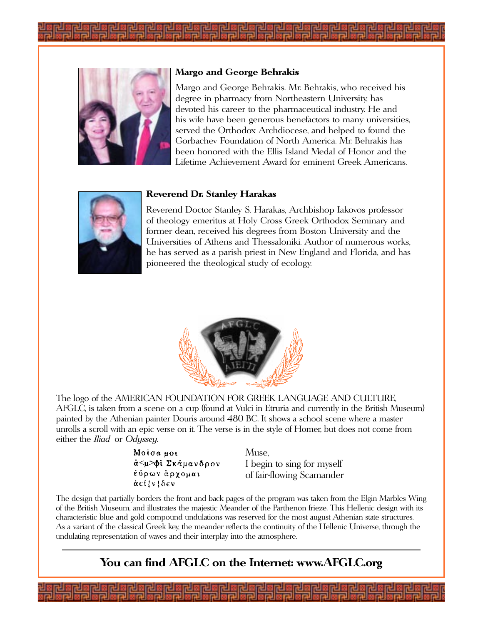



#### **Margo and George Behrakis**

Margo and George Behrakis. Mr. Behrakis, who received his degree in pharmacy from Northeastern University, has devoted his career to the pharmaceutical industry. He and his wife have been generous benefactors to many universities, served the Orthodox Archdiocese, and helped to found the Gorbachev Foundation of North America. Mr. Behrakis has been honored with the Ellis Island Medal of Honor and the Lifetime Achievement Award for eminent Greek Americans.



#### **Reverend Dr. Stanley Harakas**

Reverend Doctor Stanley S. Harakas, Archbishop Iakovos professor of theology emeritus at Holy Cross Greek Orthodox Seminary and former dean, received his degrees from Boston University and the Universities of Athens and Thessaloniki. Author of numerous works, he has served as a parish priest in New England and Florida, and has pioneered the theological study of ecology.



The logo of the AMERICAN FOUNDATION FOR GREEK LANGUAGE AND CULTURE, AFGLC, is taken from a scene on a cup (found at Vulci in Etruria and currently in the British Museum) painted by the Athenian painter Douris around 480 BC. It shows a school scene where a master unrolls a scroll with an epic verse on it. The verse is in the style of Homer, but does not come from either the *Iliad* or Odyssey.

> Μοίσα μοι ά<μ>φί Σκάμανδρον έύρων άργομαι άεί *{* ν *{δεν*

Muse, I begin to sing for myself of fair-flowing Scamander

The design that partially borders the front and back pages of the program was taken from the Elgin Marbles Wing of the British Museum, and illustrates the majestic Meander of the Parthenon frieze. This Hellenic design with its characteristic blue and gold compound undulations was reserved for the most august Athenian state structures. As a variant of the classical Greek key, the meander reflects the continuity of the Hellenic Universe, through the undulating representation of waves and their interplay into the atmosphere.

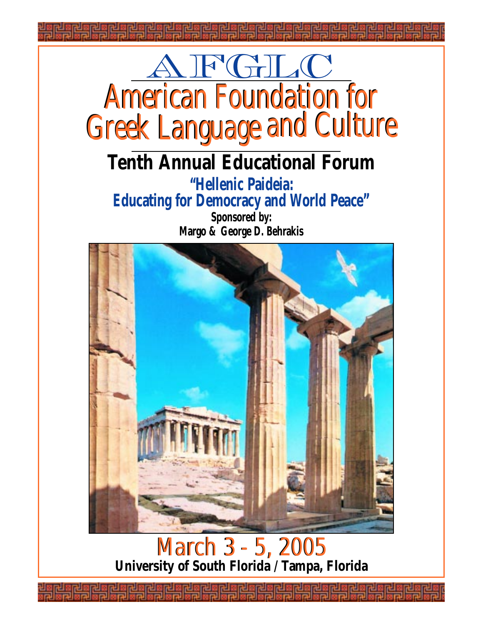

**"Hellenic Paideia: Educating for Democracy and World Peace" Sponsored by:**

**Margo & George D. Behrakis**



#### March 3 - 5, 2005 **University of South Florida / Tampa, Florida** March 3 - 5, 2005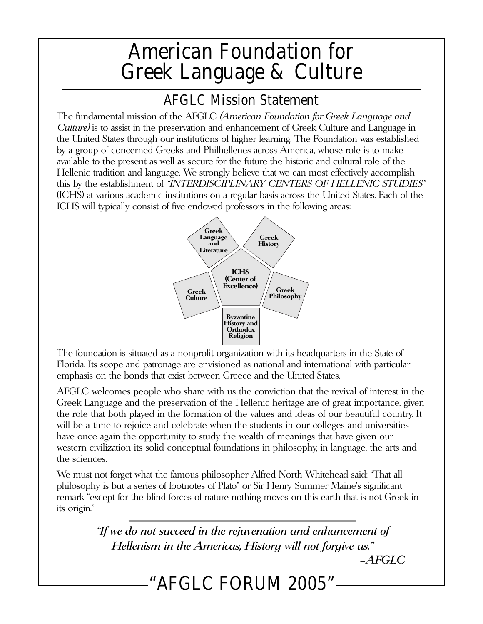## American Foundation for Greek Language & Culture

### AFGLC Mission Statement

The fundamental mission of the AFGLC (American Foundation for Greek Language and Culture) is to assist in the preservation and enhancement of Greek Culture and Language in the United States through our institutions of higher learning. The Foundation was established by a group of concerned Greeks and Philhellenes across America, whose role is to make available to the present as well as secure for the future the historic and cultural role of the Hellenic tradition and language. We strongly believe that we can most effectively accomplish this by the establishment of "INTERDISCIPLINARY CENTERS OF HELLENIC STUDIES" (ICHS) at various academic institutions on a regular basis across the United States. Each of the ICHS will typically consist of five endowed professors in the following areas:



The foundation is situated as a nonprofit organization with its headquarters in the State of Florida. Its scope and patronage are envisioned as national and international with particular emphasis on the bonds that exist between Greece and the United States.

AFGLC welcomes people who share with us the conviction that the revival of interest in the Greek Language and the preservation of the Hellenic heritage are of great importance, given the role that both played in the formation of the values and ideas of our beautiful country. It will be a time to rejoice and celebrate when the students in our colleges and universities have once again the opportunity to study the wealth of meanings that have given our western civilization its solid conceptual foundations in philosophy, in language, the arts and the sciences.

We must not forget what the famous philosopher Alfred North Whitehead said: "That all philosophy is but a series of footnotes of Plato" or Sir Henry Summer Maine's significant remark "except for the blind forces of nature nothing moves on this earth that is not Greek in its origin."

> "If we do not succeed in the rejuvenation and enhancement of Hellenism in the Americas, History will not forgive us."

–AFGLC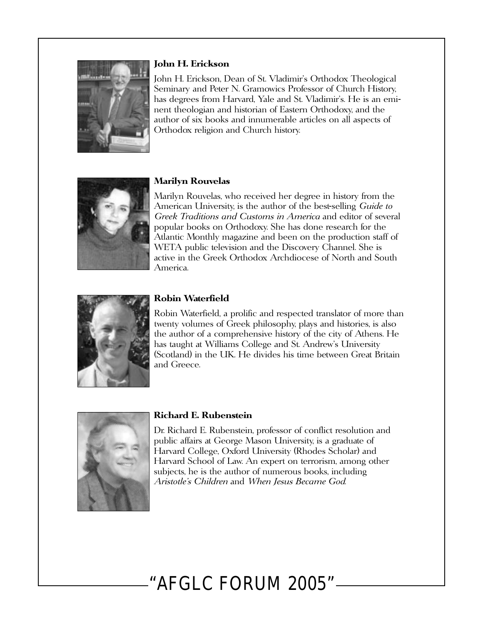

#### **John H. Erickson**

John H. Erickson, Dean of St. Vladimir's Orthodox Theological Seminary and Peter N. Gramowics Professor of Church History, has degrees from Harvard, Yale and St. Vladimir's. He is an eminent theologian and historian of Eastern Orthodoxy, and the author of six books and innumerable articles on all aspects of Orthodox religion and Church history.



#### **Marilyn Rouvelas**

Marilyn Rouvelas, who received her degree in history from the American University, is the author of the best-selling *Guide to* Greek Traditions and Customs in America and editor of several popular books on Orthodoxy. She has done research for the Atlantic Monthly magazine and been on the production staff of WETA public television and the Discovery Channel. She is active in the Greek Orthodox Archdiocese of North and South America.



#### **Robin Waterfield**

Robin Waterfield, a prolific and respected translator of more than twenty volumes of Greek philosophy, plays and histories, is also the author of a comprehensive history of the city of Athens. He has taught at Williams College and St. Andrew's University (Scotland) in the UK. He divides his time between Great Britain and Greece.



#### **Richard E. Rubenstein**

Dr. Richard E. Rubenstein, professor of conflict resolution and public affairs at George Mason University, is a graduate of Harvard College, Oxford University (Rhodes Scholar) and Harvard School of Law. An expert on terrorism, among other subjects, he is the author of numerous books, including Aristotle's Children and When Jesus Became God.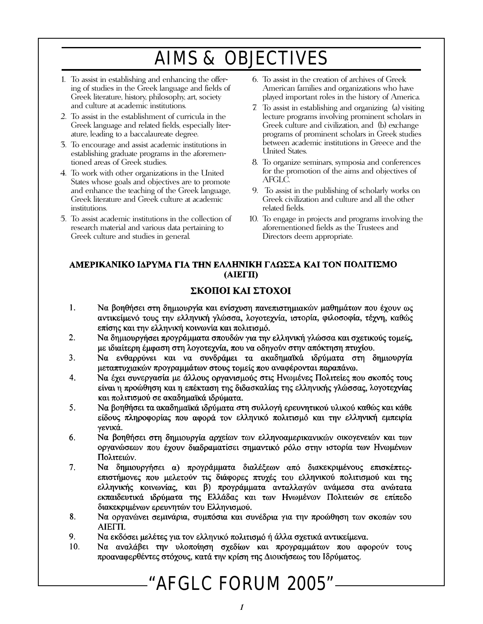## AIMS & OBJECTIVES

- 1. To assist in establishing and enhancing the offering of studies in the Greek language and fields of Greek literature, history, philosophy, art, society and culture at academic institutions.
- 2. To assist in the establishment of curricula in the Greek language and related fields, especially literature, leading to a baccalaureate degree.
- 3. To encourage and assist academic institutions in establishing graduate programs in the aforementioned areas of Greek studies.
- 4. To work with other organizations in the United States whose goals and objectives are to promote and enhance the teaching of the Greek language, Greek literature and Greek culture at academic institutions.
- 5. To assist academic institutions in the collection of research material and various data pertaining to Greek culture and studies in general.
- 6. To assist in the creation of archives of Greek American families and organizations who have played important roles in the history of America.
- 7. To assist in establishing and organizing (a) visiting lecture programs involving prominent scholars in Greek culture and civilization, and (b) exchange programs of prominent scholars in Greek studies between academic institutions in Greece and the United States.
- 8. To organize seminars, symposia and conferences for the promotion of the aims and objectives of AFGLC.
- 9. To assist in the publishing of scholarly works on Greek civilization and culture and all the other related fields.
- 10. To engage in projects and programs involving the aforementioned fields as the Trustees and Directors deem appropriate.

#### ΑΜΕΡΙΚΑΝΙΚΟ ΙΔΡΥΜΑ ΓΙΑ ΤΗΝ ΕΛΛΗΝΙΚΗ ΓΛΩΣΣΑ ΚΑΙ ΤΟΝ ΠΟΛΙΤΙΣΜΟ **(AIEFII)**

#### ΣΚΟΠΟΙ ΚΑΙ ΣΤΟΧΟΙ

- $1.$ Να βοηθήσει στη δημιουργία και ενίσχυση πανεπιστημιακών μαθημάτων που έχουν ως αντικείμενό τους την ελληνική γλώσσα, λογοτεχνία, ιστορία, φιλοσοφία, τέχνη, καθώς επίσης και την ελληνική κοινωνία και πολιτισμό.
- $2.$ Να δημιουργήσει προγράμματα σπουδών για την ελληνική γλώσσα και σχετικούς τομείς, με ιδιαίτερη έμφαση στη λογοτεχνία, που να οδηγούν στην απόκτηση πτυχίου.
- Να ενθαρρύνει και να συνδράμει τα ακαδημαϊκά ιδρύματα στη δημιουργία  $3<sub>1</sub>$ μεταπτυχιακών προγραμμάτων στους τομείς που αναφέρονται παραπάνω.
- Να έχει συνεργασία με άλλους οργανισμούς στις Ηνωμένες Πολιτείες που σκοπός τους  $\overline{4}$ . είναι η προώθηση και η επέκταση της διδασκαλίας της ελληνικής γλώσσας, λογοτεχνίας και πολιτισμού σε ακαδημαϊκά ιδρύματα.
- 5. Να βοηθήσει τα ακαδημαϊκά ιδρύματα στη συλλογή ερευνητικού υλικού καθώς και κάθε είδους πληροφορίας που αφορά τον ελληνικό πολιτισμό και την ελληνική εμπειρία γενικά.
- 6. Να βοηθήσει στη δημιουργία αρχείων των ελληνοαμερικανικών οικογενειών και των οργανώσεων που έχουν διαδραματίσει σημαντικό ρόλο στην ιστορία των Ηνωμένων Πολιτειών.
- 7. Να δημιουργήσει α) προγράμματα διαλέξεων από διακεκριμένους επισκέπτεςεπιστήμονες που μελετούν τις διάφορες πτυχές του ελληνικού πολιτισμού και της ελληνικής κοινωνίας, και β) προγράμματα ανταλλαγών ανάμεσα στα ανώτατα εκπαιδευτικά ιδρύματα της Ελλάδας και των Ηνωμένων Πολιτειών σε επίπεδο διακεκριμένων ερευνητών του Ελληνισμού.
- 8. Να οργανώνει σεμινάρια, συμπόσια και συνέδρια για την προώθηση των σκοπών του AIEFIL.
- 9. Να εκδόσει μελέτες για τον ελληνικό πολιτισμό ή άλλα σχετικά αντικείμενα.
- Να αναλάβει την υλοποίηση σχεδίων και προγραμμάτων που αφορούν τους  $10.$ προαναφερθέντες στόγους, κατά την κρίση της Διοικήσεως του Ιδρύματος.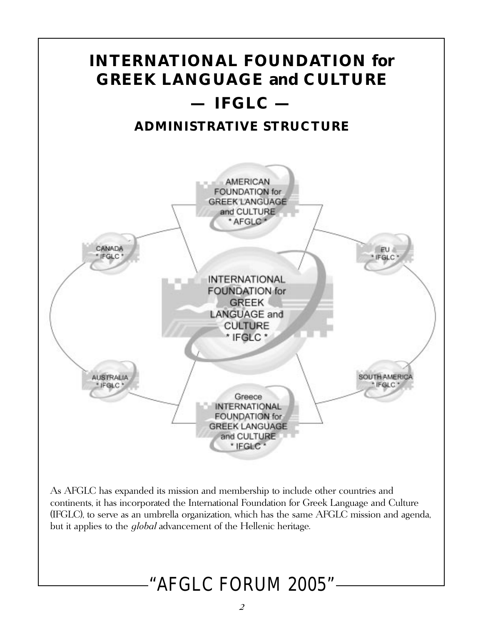

As AFGLC has expanded its mission and membership to include other countries and continents, it has incorporated the International Foundation for Greek Language and Culture (IFGLC), to serve as an umbrella organization, which has the same AFGLC mission and agenda, but it applies to the *global* advancement of the Hellenic heritage.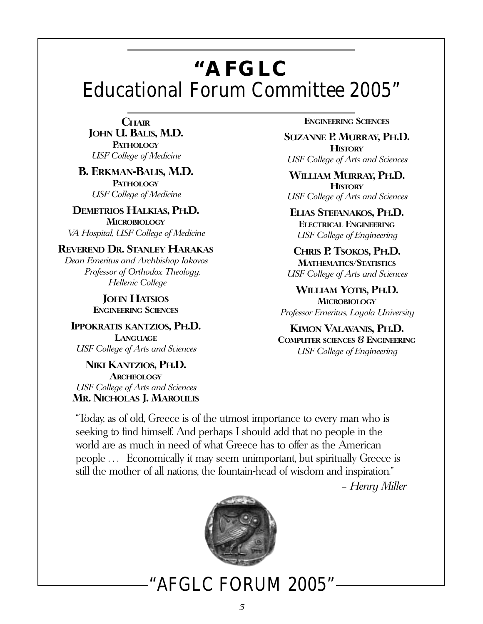## **"AFGLC** Educational Forum Committee 2005"

**CHAIR JOHN U. BALIS, M.D. PATHOLOGY** USF College of Medicine

#### **B. ERKMAN-BALIS, M.D. PATHOLOGY** USF College of Medicine

**DEMETRIOS HALKIAS, PH.D. MICROBIOLOGY** VA Hospital, USF College of Medicine

#### **REVEREND DR. STANLEY HARAKAS**

Dean Emeritus and Archbishop Iakovos Professor of Orthodox Theology, Hellenic College

> **JOHN HATSIOS ENGINEERING SCIENCES**

**IPPOKRATIS KANTZIOS, PH.D. LANGUAGE** USF College of Arts and Sciences

**NIKI KANTZIOS, PH.D. ARCHEOLOGY** USF College of Arts and Sciences **MR. NICHOLAS J. MAROULIS** **ENGINEERING SCIENCES**

**SUZANNE P. MURRAY, PH.D. HISTORY** USF College of Arts and Sciences

**WILLIAM MURRAY, PH.D. HISTORY** USF College of Arts and Sciences

**ELIAS STEFANAKOS, PH.D. ELECTRICAL ENGINEERING** USF College of Engineering

**CHRIS P. TSOKOS, PH.D. MATHEMATICS/STATISTICS** USF College of Arts and Sciences

**WILLIAM YOTIS, PH.D. MICROBIOLOGY** Professor Emeritus, Loyola University

**KIMON VALAVANIS, PH.D. COMPUTER SCIENCES & ENGINEERING** USF College of Engineering

"Today, as of old, Greece is of the utmost importance to every man who is seeking to find himself. And perhaps I should add that no people in the world are as much in need of what Greece has to offer as the American people . . . Economically it may seem unimportant, but spiritually Greece is still the mother of all nations, the fountain-head of wisdom and inspiration."

– Henry Miller

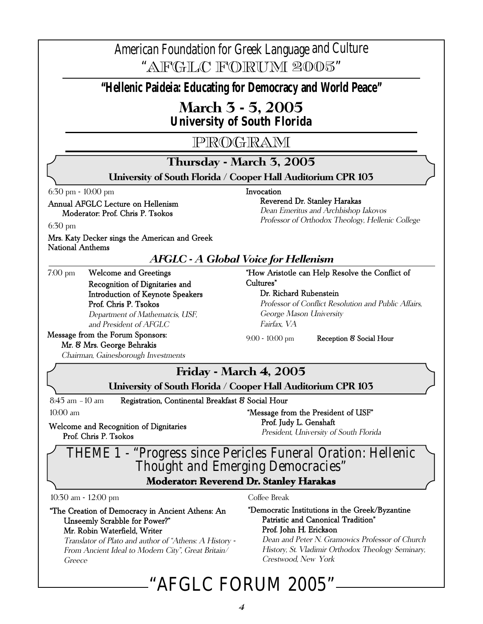### American Foundation for Greek Language and Culture

"AFGLC FORUM 2005"

**"Hellenic Paideia: Educating for Democracy and World Peace"**

## **March 3 - 5, 2005**

*University of South Florida*

### PROGRAM

### **Thursday - March 3, 2005**

**University of South Florida / Cooper Hall Auditorium CPR 103**

Invocation

6:30 pm - 10:00 pm

#### Annual AFGLC Lecture on Hellenism Moderator: Prof. Chris P. Tsokos

Reverend Dr. Stanley Harakas

Dean Emeritus and Archbishop Iakovos Professor of Orthodox Theology, Hellenic College

6:30 pm

Mrs. Katy Decker sings the American and Greek National Anthems

#### **AFGLC - A Global Voice for Hellenism**

7:00 pm Welcome and Greetings Recognition of Dignitaries and Introduction of Keynote Speakers Prof. Chris P. Tsokos Department of Mathematcis, USF, and President of AFGLC

"How Aristotle can Help Resolve the Conflict of

Cultures" Dr. Richard Rubenstein

Professor of Conflict Resolution and Public Affairs, George Mason University Fairfax, VA

#### Message from the Forum Sponsors: Mr. & Mrs. George Behrakis

9:00 - 10:00 pm Reception & Social Hour

#### Chairman, Gainesborough Investments

Welcome and Recognition of Dignitaries

Prof. Chris P. Tsokos

### **Friday - March 4, 2005**

**University of South Florida / Cooper Hall Auditorium CPR 103**

8:45 am -10 am Registration, Continental Breakfast & Social Hour

10:00 am

"Message from the President of USF" Prof. Judy L. Genshaft President, University of South Florida

### THEME 1 - "Progress since Pericles Funeral Oration: Hellenic Thought and Emerging Democracies" **Moderator: Reverend Dr. Stanley Harakas**

10:30 am - 12:00 pm

#### "The Creation of Democracy in Ancient Athens: An Unseemly Scrabble for Power?" Mr. Robin Waterfield, Writer

Translator of Plato and author of "Athens: A History - From Ancient Ideal to Modern City", Great Britain/ Greece

#### Coffee Break

#### "Democratic Institutions in the Greek/Byzantine Patristic and Canonical Tradition" Prof. John H. Erickson

Dean and Peter N. Gramowics Professor of Church History, St. Vladimir Orthodox Theology Seminary, Crestwood, New York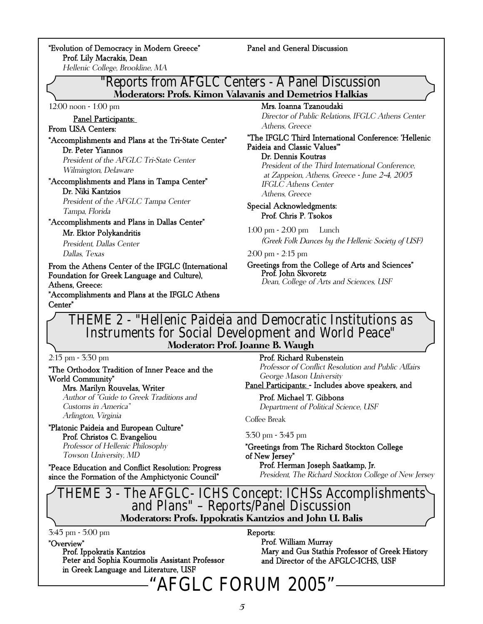"Evolution of Democracy in Modern Greece" Prof. Lily Macrakis, Dean

#### Panel and General Discussion

Hellenic College, Brookline, MA

### "Reports from AFGLC Centers - A Panel Discussion

**Moderators: Profs. Kimon Valavanis and Demetrios Halkias**

12:00 noon - 1:00 pm

### Panel Participants:

#### From USA Centers:

#### "Accomplishments and Plans at the Tri-State Center" Dr. Peter Yiannos President of the AFGLC Tri-State Center

Wilmington, Delaware

#### "Accomplishments and Plans in Tampa Center" Dr. Niki Kantzios

President of the AFGLC Tampa Center Tampa, Florida

"Accomplishments and Plans in Dallas Center"

#### Mr. Ektor Polykandritis

President, Dallas Center Dallas, Texas

From the Athens Center of the IFGLC (International Foundation for Greek Language and Culture), Athens, Greece:

"Accomplishments and Plans at the IFGLC Athens Center"

#### Mrs. Ioanna Tzanoudaki

Director of Public Relations, IFGLC Athens Center Athens, Greece

"The IFGLC Third International Conference: 'Hellenic Paideia and Classic Values'"

Dr. Dennis Koutras

President of the Third International Conference, at Zappeion, Athens, Greece - June 2-4, 2005 IFGLC Athens Center Athens, Greece

#### Special Acknowledgments: Prof. Chris P. Tsokos

1:00 pm - 2:00 pm Lunch (Greek Folk Dances by the Hellenic Society of USF)

#### 2:00 pm - 2:15 pm

Greetings from the College of Arts and Sciences" Prof. John Skvoretz Dean, College of Arts and Sciences, USF

### THEME 2 - "Hellenic Paideia and Democratic Institutions as Instruments for Social Development and World Peace"

**Moderator: Prof. Joanne B. Waugh**

2:15 pm - 3:30 pm

"The Orthodox Tradition of Inner Peace and the World Community" Mrs. Marilyn Rouvelas, Writer

Author of "Guide to Greek Traditions and Customs in America" Arlington, Virginia

"Platonic Paideia and European Culture" Prof. Christos C. Evangeliou Professor of Hellenic Philosophy Towson University, MD

"Peace Education and Conflict Resolution: Progress since the Formation of the Amphictyonic Council"

Prof. Richard Rubenstein

Professor of Conflict Resolution and Public Affairs George Mason University

Panel Participants: - Includes above speakers, and

Prof. Michael T. Gibbons Department of Political Science, USF

Coffee Break

#### 3:30 pm - 3:45 pm

"Greetings from The Richard Stockton College of New Jersey"

Prof. Herman Joseph Saatkamp, Jr. President, The Richard Stockton College of New Jersey

# THEME 3 - The AFGLC- ICHS Concept: ICHSs Accomplishments and Plans" – Reports/Panel Discussion

**Moderators: Profs. Ippokratis Kantzios and John U. Balis**

3:45 pm - 5:00 pm

#### "Overview"

Prof. Ippokratis Kantzios Peter and Sophia Kourmolis Assistant Professor in Greek Language and Literature, USF

Reports:

Prof. William Murray Mary and Gus Stathis Professor of Greek History and Director of the AFGLC-ICHS, USF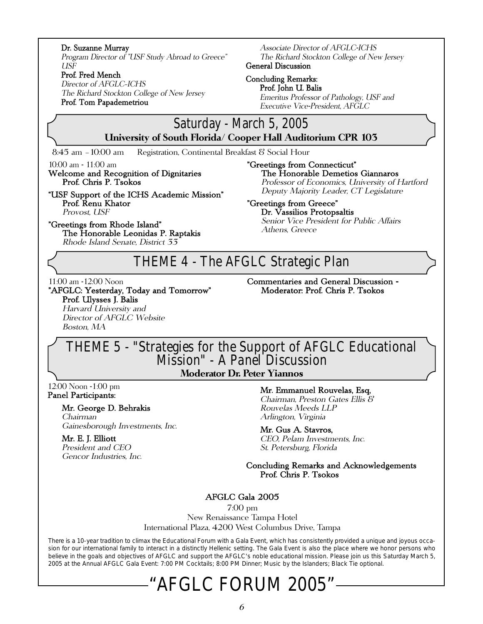#### Dr. Suzanne Murray

Program Director of "USF Study Abroad to Greece" USF

#### Prof. Fred Mench

Director of AFGLC—ICHS The Richard Stockton College of New Jersey Prof. Tom Papademetriou

Associate Director of AFGLC-ICHS The Richard Stockton College of New Jersey General Discussion

Concluding Remarks: Prof. John U. Balis

Emeritus Professor of Pathology, USF and Executive Vice-President, AFGLC

### Saturday - March 5, 2005

**University of South Florida/ Cooper Hall Auditorium CPR 103**

8:45 am –10:00 am Registration, Continental Breakfast & Social Hour

10:00 am - 11:00 am

Welcome and Recognition of Dignitaries Prof. Chris P. Tsokos

"USF Support of the ICHS Academic Mission" Prof. Renu Khator Provost, USF

"Greetings from Rhode Island" The Honorable Leonidas P. Raptakis Rhode Island Senate, District 33

"Greetings from Connecticut" The Honorable Demetios Giannaros

Professor of Economics, University of Hartford Deputy Majority Leader, CT Legislature

#### "Greetings from Greece"

Dr. Vassilios Protopsaltis Senior Vice President for Public Affairs Athens, Greece

### THEME 4 - The AFGLC Strategic Plan

11:00 am -12:00 Noon

"AFGLC: Yesterday, Today and Tomorrow" Prof. Ulysses J. Balis Harvard University and Director of AFGLC Website

Boston, MA

Commentaries and General Discussion - Moderator: Prof. Chris P. Tsokos

### THEME 5 - "Strategies for the Support of AFGLC Educational Mission" - A Panel Discussion

**Moderator Dr. Peter Yiannos**

12:00 Noon -1:00 pm Panel Participants:

#### Mr. George D. Behrakis

Chairman Gainesborough Investments, Inc.

#### Mr. E. J. Elliott

President and CEO Gencor Industries, Inc.

#### Mr. Emmanuel Rouvelas, Esq,

Chairman, Preston Gates Ellis & Rouvelas Meeds LLP Arlington, Virginia

Mr. Gus A. Stavros, CEO, Pelam Investments, Inc. St. Petersburg, Florida

Concluding Remarks and Acknowledgements Prof. Chris P. Tsokos

#### AFGLC Gala 2005

7:00 pm

New Renaissance Tampa Hotel International Plaza, 4200 West Columbus Drive, Tampa

There is a 10-year tradition to climax the Educational Forum with a Gala Event, which has consistently provided a unique and joyous occasion for our international family to interact in a distinctly Hellenic setting. The Gala Event is also the place where we honor persons who believe in the goals and objectives of AFGLC and support the AFGLC's noble educational mission. Please join us this Saturday March 5, 2005 at the Annual AFGLC Gala Event: 7:00 PM Cocktails; 8:00 PM Dinner; Music by the Islanders; Black Tie optional.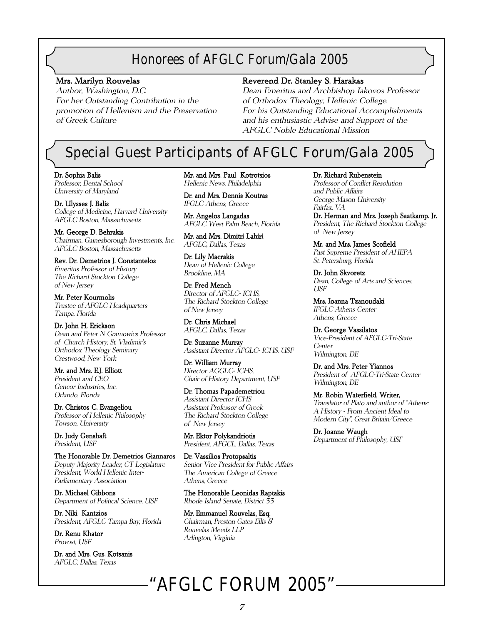### Honorees of AFGLC Forum/Gala 2005

#### Mrs. Marilyn Rouvelas

Author, Washington, D.C. For her Outstanding Contribution in the promotion of Hellenism and the Preservation of Greek Culture

#### Reverend Dr. Stanley S. Harakas

Dean Emeritus and Archbishop Iakovos Professor of Orthodox Theology, Hellenic College. For his Outstanding Educational Accomplishments and his enthusiastic Advise and Support of the AFGLC Noble Educational Mission

### Special Guest Participants of AFGLC Forum/Gala 2005

Dr. Sophia Balis Professor, Dental School University of Maryland

Dr. Ulysses J. Balis College of Medicine, Harvard University AFGLC Boston, Massachusetts

Mr. George D. Behrakis Chairman, Gainesborough Investments, Inc. AFGLC Boston, Massachusetts

Rev. Dr. Demetrios J. Constantelos Emeritus Professor of History The Richard Stockton College of New Jersey

Mr. Peter Kourmolis Trustee of AFGLC Headquarters Tampa, Florida

Dr. John H. Erickson Dean and Peter N Gramowics Professor of Church History, St. Vladimir's Orthodox Theology Seminary Crestwood, New York

Mr. and Mrs. E.J. Elliott President and CEO Gencor Industries, Inc. Orlando, Florida

Dr. Christos C. Evangeliou Professor of Hellenic Philosophy Towson, University

Dr. Judy Genshaft President, USF

The Honorable Dr. Demetrios Giannaros Deputy Majority Leader, CT Legislature President, World Hellenic Inter-Parliamentary Association

Dr. Michael Gibbons Department of Political Science, USF

Dr. Niki Kantzios President, AFGLC Tampa Bay, Florida

Dr. Renu Khator Provost, USF

Dr. and Mrs. Gus. Kotsanis AFGLC, Dallas, Texas

Mr. and Mrs. Paul Kotrotsios Hellenic News, Philadelphia

Dr. and Mrs. Dennis Koutras IFGLC Athens, Greece

Mr. Angelos Langadas AFGLC West Palm Beach, Florida

Mr. and Mrs. Dimitri Lahiri AFGLC, Dallas, Texas

Dr. Lily Macrakis Dean of Hellenic College Brookline, MA

Dr. Fred Mench Director of AFGLC- ICHS, The Richard Stockton College of New Jersey

Dr. Chris Michael AFGLC, Dallas, Texas

Dr. Suzanne Murray Assistant Director AFGLC- ICHS, USF

Dr. William Murray Director AGGLC- ICHS, Chair of History Department, USF

Dr. Thomas Papademetriou Assistant Director ICHS Assistant Professor of Greek The Richard Stockton College of New Jersey

Mr. Ektor Polykandriotis President, AFGCL, Dallas, Texas

Dr. Vassilios Protopsaltis Senior Vice President for Public Affairs The American College of Greece Athens, Greece

The Honorable Leonidas Raptakis Rhode Island Senate, District 33

Mr. Emmanuel Rouvelas, Esq. Chairman, Preston Gates Ellis & Rouvelas Meeds LLP Arlington, Virginia

#### Dr. Richard Rubenstein

Professor of Conflict Resolution and Public Affairs George Mason University Fairfax, VA

Dr. Herman and Mrs. Joseph Saatkamp. Jr. President, The Richard Stockton College of New Jersey

Mr. and Mrs. James Scofield Past Supreme President of AHEPA St. Petersburg, Florida

Dr. John Skvoretz Dean, College of Arts and Sciences, USF

Mrs. Ioanna Tzanoudaki IFGLC Athens Center Athens, Greece

Dr. George Vassilatos Vice-President of AFGLC-Tri-State Center Wilmington, DE

Dr. and Mrs. Peter Yiannos President of AFGLC-Tri-State Center Wilmington, DE

Mr. Robin Waterfield, Writer, Translator of Plato and author of "Athens: A History - From Ancient Ideal to Modern City", Great Britain/Greece

Dr. Joanne Waugh Department of Philosophy, USF